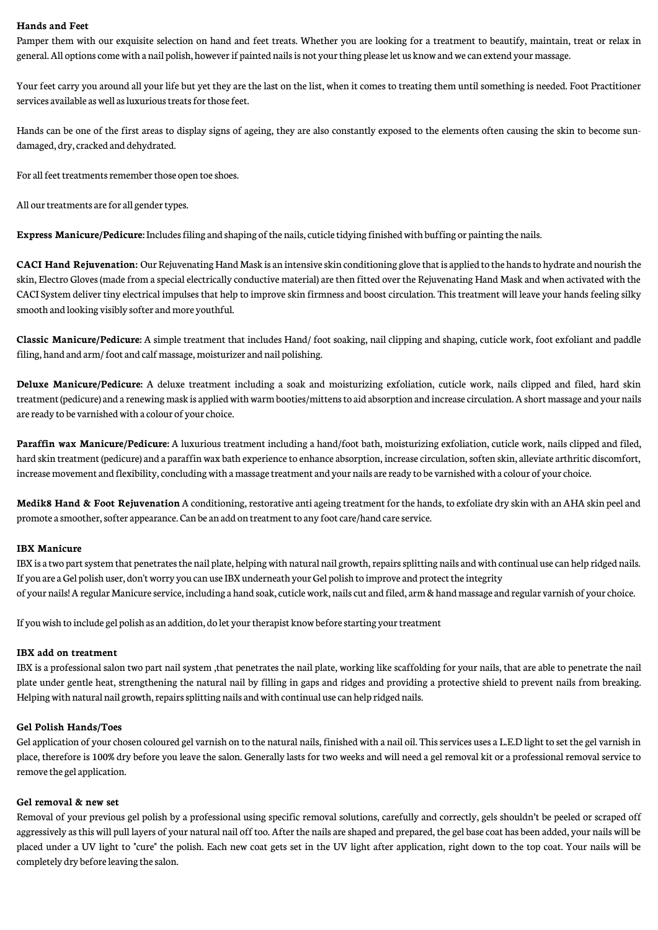### **Hands and Feet**

Pamper them with our exquisite selection on hand and feet treats. Whether you are looking for a treatment to beautify, maintain, treat or relax in general.All optionscomewith a nail polish, howeverif painted nailsis not yourthing pleaselet us knowandwecan extend yourmassage.

Your feet carry you around all your life but yet they are the last on the list, when it comes to treating them until something is needed. Foot Practitioner services available as well as luxurious treats for those feet.

Hands can be one of the first areas to display signs of ageing, they are also constantly exposed to the elements often causing the skin to become sundamaged, dry, cracked and dehydrated.

For all feet treatments remember those open toe shoes.

All our treatments are for all gender types.

**Express Manicure/Pedicure:** Includes filing and shaping of the nails, cuticle tidying finished with buffing or painting the nails.

**CACI** Hand Rejuvenation: Our Rejuvenating Hand Mask is an intensive skin conditioning glove that is applied to the hands to hydrate and nourish the skin, Electro Gloves (made from a special electrically conductive material) are then fitted over the Rejuvenating Hand Mask and when activated with the CACI System deliver tiny electrical impulses that help to improveskin firmness and boost circulation. This treatment will leave your hands feeling silky smooth and looking visibly softer and more youthful.

**Classic Manicure/Pedicure:** A simple treatment that includes Hand/ foot soaking, nail clipping and shaping, cuticle work, foot exfoliant and paddle filing, hand and arm/foot and calf massage, moisturizer and nail polishing.

**Deluxe Manicure/Pedicure:** A deluxe treatment including a soak and moisturizing exfoliation, cuticle work, nails clipped and filed, hard skin treatment (pedicure) and a renewing mask is applied with warm booties/mittens to aid absorption and increase circulation. A short massage and your nails are ready to be varnished with a colour of your choice.

**Paraffin wax Manicure/Pedicure:** A luxurious treatment including a hand/foot bath, moisturizing exfoliation, cuticle work, nails clipped and filed, hard skin treatment (pedicure) and a paraffin wax bath experience to enhance absorption, increase circulation, soften skin, alleviate arthritic discomfort, increase movement and flexibility, concluding with a massage treatment and your nails are ready to be varnished with a colour of your choice.

**Medik8 Hand & Foot Rejuvenation** A conditioning, restorative anti ageing treatment for the hands, to exfoliate dry skin with an AHA skin peel and promote a smoother, softer appearance. Can be an add on treatment to any foot care/hand care service.

## **IBX Manicure**

IBX is a two part system that penetrates the nail plate, helping with natural nail growth, repairs splitting nails and with continual use can help ridged nails. If you are a Gel polish user, don't worry you can use IBX underneath your Gel polish to improve and protect the integrity of your nails!Aregular Manicureservice, including a hand soak,cuticlework, nailscut and filed, arm&handmassage and regular varnish of yourchoice.

If youwish to include gel polish as an addition, do let yourtherapist knowbeforestarting yourtreatment

#### **IBX add on treatment**

IBX is a professional salon two part nail system ,that penetrates the nail plate, working like scaffolding for your nails, that are able to penetrate the nail plate under gentle heat, strengthening the natural nail by filling in gaps and ridges and providing a protective shield to prevent nails from breaking. Helping with natural nail growth, repairs splitting nails and with continual use can help ridged nails.

## **Gel Polish Hands/Toes**

Gel application of your chosen coloured gel varnish on to the natural nails, finished with a nail oil. This services uses a L.E.D light to set the gel varnish in place, therefore is 100% dry before you leave the salon. Generally lasts for two weeks and will need a gel removal kit or a professional removal service to removethe gel application.

#### **Gel removal & new set**

Removal of your previous gel polish by a professional using specific removal solutions, carefully and correctly, gels shouldn't be peeled or scraped off aggressively as this will pull layers of your natural nail off too. Afterthe nails areshaped and prepared, the gel basecoat has been added, your nails will be placed under a UV light to "cure" the polish. Each new coat gets set in the UV light after application, right down to the top coat. Your nails will be completely dry before leaving the salon.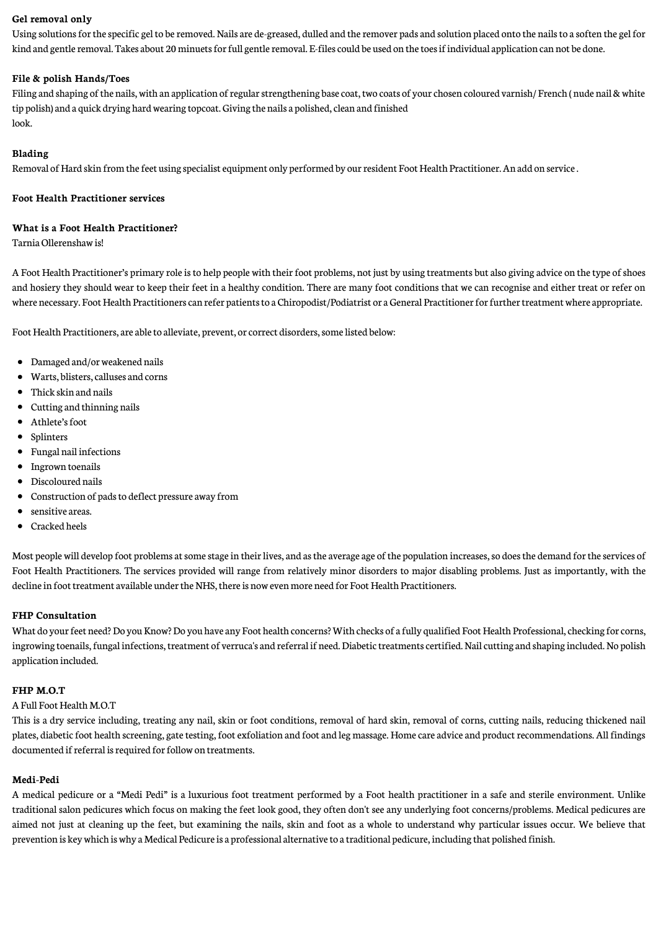## **Gel removal only**

Using solutions for the specific gel to be removed. Nails are de-greased, dulled and the remover pads and solution placed onto the nails to a soften the gel for kind and gentle removal. Takes about 20 minuets for full gentle removal. E-files could be used on the toes if individual application can not be done.

## **File & polish Hands/Toes**

Filing and shaping of the nails, with an application of regular strengthening base coat, two coats of your chosen coloured varnish/ French ( nude nail & white tip polish) and a quick drying hard wearing topcoat. Giving the nails a polished, clean and finished look.

## **Blading**

Removal of Hard skin from the feet using specialist equipment only performed by our resident Foot Health Practitioner. An add on service.

## **Foot Health Practitioner services**

### **What is a Foot Health Practitioner?**

TarniaOllerenshawis!

A Foot Health Practitioner's primary role is to help people with their foot problems, not just by using treatments but also giving advice on the type of shoes and hosiery they should wear to keep their feet in a healthy condition. There are many foot conditions that we can recognise and either treat or refer on where necessary. Foot Health Practitioners can refer patients to a Chiropodist/Podiatrist or a General Practitioner for further treatment where appropriate.

Foot Health Practitioners, are able to alleviate, prevent, or correct disorders, some listed below:

- Damaged and/or weakened nails
- Warts, blisters,calluses and corns
- Thick skin and nails
- Cutting and thinning nails
- Athlete's foot
- Splinters
- Fungal nail infections
- Ingrown toenails
- Discoloured nails
- Construction of padsto deflect pressure away from
- sensitive areas.
- $\bullet$ Cracked heels

Most people will develop foot problems at some stage in their lives, and as the average age of the population increases, so does the demand for the services of Foot Health Practitioners. The services provided will range from relatively minor disorders to major disabling problems. Just as importantly, with the decline in foot treatment available under the NHS, there is now even more need for Foot Health Practitioners.

## **FHP Consultation**

What do your feet need? Do you Know? Do you have any Foot health concerns? With checks of a fully qualified Foot Health Professional, checking for corns, ingrowing toenails, fungal infections, treatment of verruca's and referral if need. Diabetic treatments certified. Nail cutting and shaping included. No polish application included.

#### **FHP M.O.T**

#### A Full Foot Health M.O.T

This is a dry service including, treating any nail, skin or foot conditions, removal of hard skin, removal of corns, cutting nails, reducing thickened nail plates, diabetic foot health screening, gate testing, foot exfoliation and foot and leg massage. Home care advice and product recommendations. All findings documented if referral is required for follow on treatments.

## **Medi-Pedi**

A medical pedicure or a "Medi Pedi" is a luxurious foot treatment performed by a Foot health practitioner in a safe and sterile environment. Unlike traditional salon pedicures which focus on making the feet look good, they often don't see any underlying foot concerns/problems. Medical pedicures are aimed not just at cleaning up the feet, but examining the nails, skin and foot as a whole to understand why particular issues occur. We believe that prevention is key which is why a Medical Pedicure is a professional alternative to a traditional pedicure, including that polished finish.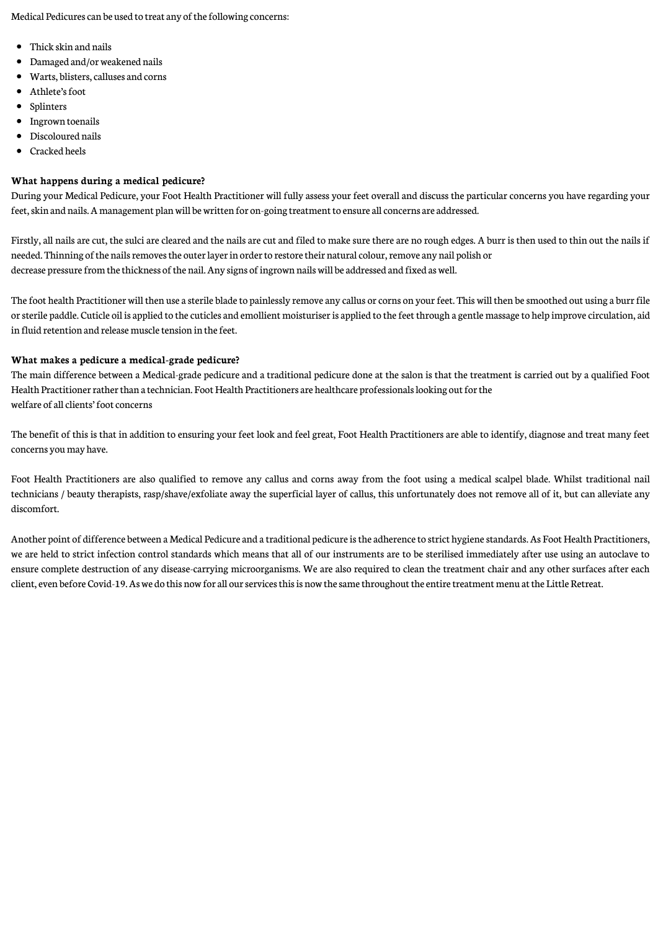Medical Pedicures can be used to treat any of the following concerns:

- Thick skin and nails
- Damaged and/orweakened nails
- Warts, blisters,calluses and corns
- Athlete's foot
- Splinters
- **•** Ingrown toenails
- Discoloured nails
- Cracked heels

## **What happens during a medical pedicure?**

During your Medical Pedicure, your Foot Health Practitioner will fully assess your feet overall and discuss the particular concerns you have regarding your feet, skin and nails. A management plan will be written for on-going treatment to ensure all concerns are addressed.

Firstly, all nails are cut, the sulci are cleared and the nails are cut and filed to make sure there are no rough edges. A burr is then used to thin out the nails if needed. Thinning of the nails removes the outer layer in order to restore their natural colour, remove any nail polish or decrease pressure from the thickness of the nail. Any signs of ingrown nails will be addressed and fixed as well.

The foot health Practitioner will then use a sterile blade to painlessly remove any callus or corns on your feet. This will then be smoothed out using a burr file or sterile paddle. Cuticle oil is applied to the cuticles and emollient moisturiser is applied to the feet through a gentle massage to help improve circulation, aid in fluid retention and release muscle tension in the feet.

## **What makes a pedicure a medical-grade pedicure?**

The main difference between a Medical-grade pedicure and a traditional pedicure done at the salon is that the treatment is carried out by a qualified Foot Health Practitioner rather than a technician. Foot Health Practitioners are healthcare professionals looking out for the welfare of all clients' foot concerns

The benefit of this is that in addition to ensuring your feet look and feel great, Foot Health Practitioners are able to identify, diagnose and treat many feet concerns youmay have.

Foot Health Practitioners are also qualified to remove any callus and corns away from the foot using a medical scalpel blade. Whilst traditional nail technicians / beauty therapists, rasp/shave/exfoliate away the superficial layer of callus, this unfortunately does not remove all of it, but can alleviate any discomfort.

Another point of difference between a Medical Pedicure and a traditional pedicure is the adherence to strict hygiene standards. As Foot Health Practitioners, we are held to strict infection control standards which means that all of our instruments are to be sterilised immediately after use using an autoclave to ensure complete destruction of any disease-carrying microorganisms. We are also required to clean the treatment chair and any other surfaces after each client, even before Covid-19. As we do this now for all our services this is now the same throughout the entire treatment menu at the Little Retreat.